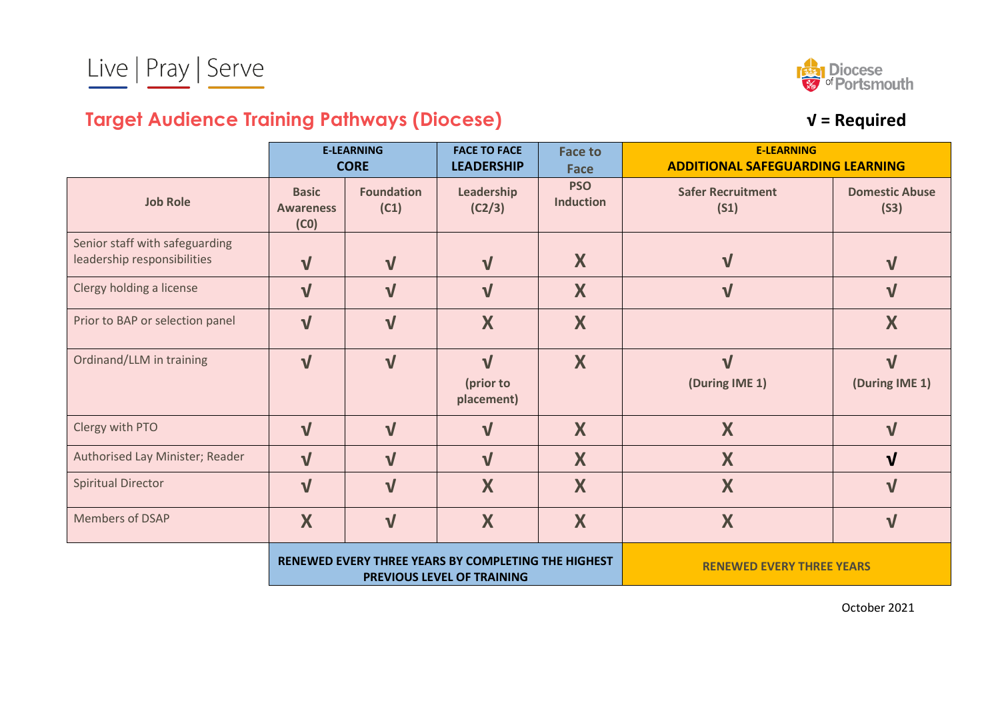

## **Target Audience Training Pathways (Diocese) √ = Required**

|                                                               | <b>E-LEARNING</b><br><b>CORE</b>         |                           | <b>FACE TO FACE</b><br><b>LEADERSHIP</b>                                          | <b>Face to</b><br><b>Face</b>    | <b>E-LEARNING</b><br><b>ADDITIONAL SAFEGUARDING LEARNING</b> |                               |
|---------------------------------------------------------------|------------------------------------------|---------------------------|-----------------------------------------------------------------------------------|----------------------------------|--------------------------------------------------------------|-------------------------------|
| <b>Job Role</b>                                               | <b>Basic</b><br><b>Awareness</b><br>(C0) | <b>Foundation</b><br>(C1) | Leadership<br>(C2/3)                                                              | <b>PSO</b><br><b>Induction</b>   | <b>Safer Recruitment</b><br>(S1)                             | <b>Domestic Abuse</b><br>(S3) |
| Senior staff with safeguarding<br>leadership responsibilities | $\mathbf V$                              | $\mathbf V$               | $\sqrt{ }$                                                                        | X                                | $\sqrt{}$                                                    | $\mathbf{V}$                  |
| Clergy holding a license                                      | $\sqrt{ }$                               | $\overline{\mathsf{V}}$   | $\sqrt{ }$                                                                        | X                                | $\sqrt{}$                                                    | $\sqrt{ }$                    |
| Prior to BAP or selection panel                               | $\sqrt{ }$                               | $\overline{\mathsf{V}}$   | X                                                                                 | X                                |                                                              | X                             |
| Ordinand/LLM in training                                      | $\mathbf{V}$                             | $\sqrt{}$                 | $\sqrt{ }$<br>(prior to<br>placement)                                             | X                                | $\sqrt{ }$<br>(During IME 1)                                 | $\sqrt{ }$<br>(During IME 1)  |
| Clergy with PTO                                               | $\sqrt{ }$                               | $\sqrt{ }$                | $\mathbf{V}$                                                                      | X                                | X                                                            | $\mathbf{V}$                  |
| Authorised Lay Minister; Reader                               | $\sqrt{}$                                | $\mathbf{V}$              | $\sqrt{ }$                                                                        | X                                | X                                                            | $\mathbf{V}$                  |
| <b>Spiritual Director</b>                                     | $\sqrt{ }$                               | $\sqrt{}$                 | X                                                                                 | X                                | X                                                            | $\sqrt{ }$                    |
| Members of DSAP                                               | X                                        | $\sqrt{}$                 | X                                                                                 | X                                | X                                                            | $\sqrt{ }$                    |
|                                                               |                                          |                           | RENEWED EVERY THREE YEARS BY COMPLETING THE HIGHEST<br>PREVIOUS LEVEL OF TRAINING | <b>RENEWED EVERY THREE YEARS</b> |                                                              |                               |

October 2021